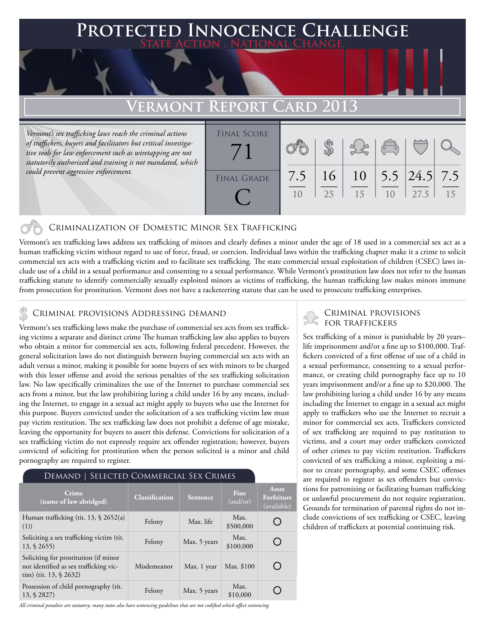## **PED INNOCENCE CHALLENGE State Action . National Change.**

# **VERMONT REPORT**

*Vermont's sex trafficking laws reach the criminal actions of traffickers, buyers and facilitators but critical investigative tools for law enforcement such as wiretapping are not statutorily authorized and training is not mandated, which could prevent aggressive enforcement.*

| <b>FINAL SCORE</b> |     |    |    |                                                |                               |    |
|--------------------|-----|----|----|------------------------------------------------|-------------------------------|----|
|                    |     |    |    |                                                |                               |    |
|                    |     |    |    | $\begin{pmatrix} 1 & 1 \\ 0 & 0 \end{pmatrix}$ |                               |    |
|                    |     |    |    |                                                |                               |    |
|                    | 7.5 | 16 | 10 |                                                | 5.5 $\left  24.5 \right $ 7.5 |    |
| <b>FINAL GRADE</b> |     |    |    |                                                |                               |    |
|                    | 10  | 25 | 15 | 10                                             | 27.5                          | 15 |
|                    |     |    |    |                                                |                               |    |
|                    |     |    |    |                                                |                               |    |

### Criminalization of Domestic Minor Sex Trafficking

Vermont's sex trafficking laws address sex trafficking of minors and clearly defines a minor under the age of 18 used in a commercial sex act as a human trafficking victim without regard to use of force, fraud, or coercion. Individual laws within the trafficking chapter make it a crime to solicit commercial sex acts with a trafficking victim and to facilitate sex trafficking. The state commercial sexual exploitation of children (CSEC) laws include use of a child in a sexual performance and consenting to a sexual performance. While Vermont's prostitution law does not refer to the human trafficking statute to identify commercially sexually exploited minors as victims of trafficking, the human trafficking law makes minors immune from prosecution for prostitution. Vermont does not have a racketeering statute that can be used to prosecute trafficking enterprises.

Vermont's sex trafficking laws make the purchase of commercial sex acts from sex trafficking victims a separate and distinct crime The human trafficking law also applies to buyers who obtain a minor for commercial sex acts, following federal precedent. However, the general solicitation laws do not distinguish between buying commercial sex acts with an adult versus a minor, making it possible for some buyers of sex with minors to be charged with this lesser offense and avoid the serious penalties of the sex trafficking solicitation law. No law specifically criminalizes the use of the Internet to purchase commercial sex acts from a minor, but the law prohibiting luring a child under 16 by any means, including the Internet, to engage in a sexual act might apply to buyers who use the Internet for this purpose. Buyers convicted under the solicitation of a sex trafficking victim law must pay victim restitution. The sex trafficking law does not prohibit a defense of age mistake, leaving the opportunity for buyers to assert this defense. Convictions for solicitation of a sex trafficking victim do not expressly require sex offender registration; however, buyers convicted of soliciting for prostitution when the person solicited is a minor and child pornography are required to register.

| SELECTED COMMERCIAL SEX CRIMES<br>Demand                                                                      |                       |              |                         |                                    |  |  |  |  |
|---------------------------------------------------------------------------------------------------------------|-----------------------|--------------|-------------------------|------------------------------------|--|--|--|--|
| Crime<br>(name of law abridged)                                                                               | <b>Classification</b> | Sentence     | <b>Fine</b><br>(and/or) | Asset<br>Forfeiture<br>(available) |  |  |  |  |
| Human trafficking (tit. 13, § 2652(a)<br>(1))                                                                 | Felony                | Max. life    | Max.<br>\$500,000       |                                    |  |  |  |  |
| Soliciting a sex trafficking victim (tit.<br>$13, \S 2655$                                                    | Felony                | Max. 5 years | Max.<br>\$100,000       |                                    |  |  |  |  |
| Soliciting for prostitution (if minor<br>not identified as sex trafficking vic-<br>tim) (tit. $13, \S 2632$ ) | Misdemeanor           | Max. 1 year  | Max. \$100              |                                    |  |  |  |  |
| Possession of child pornography (tit.<br>13, § 2827)                                                          | Felony                | Max. 5 years | Max.<br>\$10,000        |                                    |  |  |  |  |

#### *All criminal penalties are statutory; many states also have sentencing guidelines that are not codified which affect sentencing.*

# CRIMINAL PROVISIONS ADDRESSING DEMAND<br>Vermontie een trafficking laure make the nurchase of commercial sex acts from sex traffick. FOR TRAFFICKERS

Sex trafficking of a minor is punishable by 20 years– life imprisonment and/or a fine up to \$100,000. Traffickers convicted of a first offense of use of a child in a sexual performance, consenting to a sexual performance, or creating child pornography face up to 10 years imprisonment and/or a fine up to \$20,000. The law prohibiting luring a child under 16 by any means including the Internet to engage in a sexual act might apply to traffickers who use the Internet to recruit a minor for commercial sex acts. Traffickers convicted of sex trafficking are required to pay restitution to victims, and a court may order traffickers convicted of other crimes to pay victim restitution. Traffickers convicted of sex trafficking a minor, exploiting a minor to create pornography, and some CSEC offenses are required to register as sex offenders but convictions for patronizing or facilitating human trafficking or unlawful procurement do not require registration. Grounds for termination of parental rights do not include convictions of sex trafficking or CSEC, leaving children of traffickers at potential continuing risk.